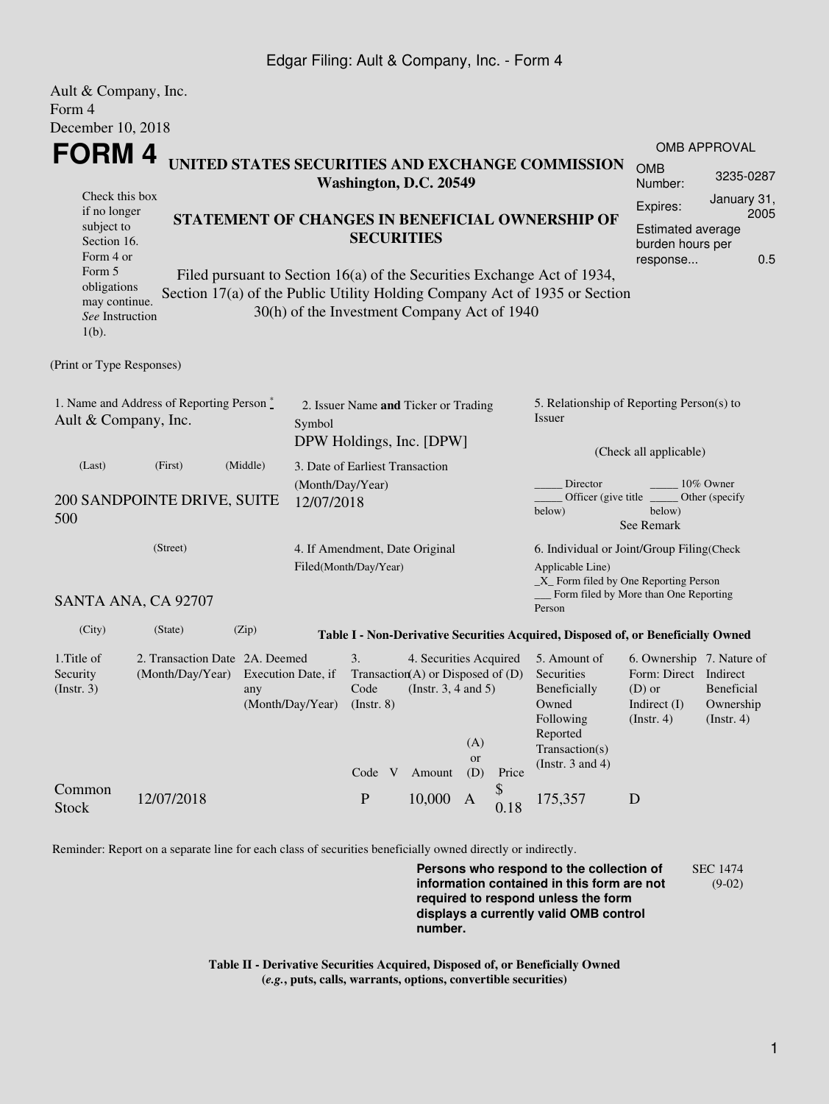### Edgar Filing: Ault & Company, Inc. - Form 4

| Ault & Company, Inc.                                                               |                                                                            |          |                                                                   |                                                                                                                                                 |  |                                                                                                   |                         |            |                                                                                                                         |                                                                                                 |                                        |  |
|------------------------------------------------------------------------------------|----------------------------------------------------------------------------|----------|-------------------------------------------------------------------|-------------------------------------------------------------------------------------------------------------------------------------------------|--|---------------------------------------------------------------------------------------------------|-------------------------|------------|-------------------------------------------------------------------------------------------------------------------------|-------------------------------------------------------------------------------------------------|----------------------------------------|--|
| Form 4                                                                             |                                                                            |          |                                                                   |                                                                                                                                                 |  |                                                                                                   |                         |            |                                                                                                                         |                                                                                                 |                                        |  |
| December 10, 2018                                                                  |                                                                            |          |                                                                   |                                                                                                                                                 |  |                                                                                                   |                         |            |                                                                                                                         |                                                                                                 |                                        |  |
| <b>FORM4</b>                                                                       |                                                                            |          |                                                                   |                                                                                                                                                 |  |                                                                                                   |                         |            | <b>OMB APPROVAL</b>                                                                                                     |                                                                                                 |                                        |  |
|                                                                                    | UNITED STATES SECURITIES AND EXCHANGE COMMISSION<br>Washington, D.C. 20549 |          |                                                                   |                                                                                                                                                 |  |                                                                                                   |                         |            |                                                                                                                         | <b>OMB</b><br>Number:                                                                           | 3235-0287                              |  |
| Check this box<br>if no longer<br>subject to<br>Section 16.<br>Form 4 or<br>Form 5 |                                                                            |          |                                                                   | STATEMENT OF CHANGES IN BENEFICIAL OWNERSHIP OF<br><b>SECURITIES</b><br>Filed pursuant to Section 16(a) of the Securities Exchange Act of 1934, |  |                                                                                                   |                         |            | January 31,<br>Expires:<br>2005<br><b>Estimated average</b><br>burden hours per<br>0.5<br>response                      |                                                                                                 |                                        |  |
| obligations<br>may continue.<br>See Instruction<br>$1(b)$ .                        |                                                                            |          | 30(h) of the Investment Company Act of 1940                       |                                                                                                                                                 |  |                                                                                                   |                         |            | Section 17(a) of the Public Utility Holding Company Act of 1935 or Section                                              |                                                                                                 |                                        |  |
| (Print or Type Responses)                                                          |                                                                            |          |                                                                   |                                                                                                                                                 |  |                                                                                                   |                         |            |                                                                                                                         |                                                                                                 |                                        |  |
| 1. Name and Address of Reporting Person*<br>Ault & Company, Inc.<br>Symbol         |                                                                            |          |                                                                   | 2. Issuer Name and Ticker or Trading<br>DPW Holdings, Inc. [DPW]                                                                                |  |                                                                                                   |                         |            | 5. Relationship of Reporting Person(s) to<br>Issuer<br>(Check all applicable)                                           |                                                                                                 |                                        |  |
| (Last)<br>500                                                                      | (First)<br>200 SANDPOINTE DRIVE, SUITE                                     | (Middle) | 3. Date of Earliest Transaction<br>(Month/Day/Year)<br>12/07/2018 |                                                                                                                                                 |  |                                                                                                   |                         |            | Director<br>Officer (give title)<br>below)                                                                              | below)<br>See Remark                                                                            | 10% Owner<br>Other (specify            |  |
| (Street)                                                                           |                                                                            |          |                                                                   | 4. If Amendment, Date Original<br>Filed(Month/Day/Year)                                                                                         |  |                                                                                                   |                         |            | 6. Individual or Joint/Group Filing(Check<br>Applicable Line)<br>$\_X$ Form filed by One Reporting Person               |                                                                                                 |                                        |  |
|                                                                                    | SANTA ANA, CA 92707                                                        |          |                                                                   |                                                                                                                                                 |  |                                                                                                   |                         |            | Form filed by More than One Reporting<br>Person                                                                         |                                                                                                 |                                        |  |
| (City)                                                                             | (State)                                                                    | (Zip)    |                                                                   |                                                                                                                                                 |  |                                                                                                   |                         |            | Table I - Non-Derivative Securities Acquired, Disposed of, or Beneficially Owned                                        |                                                                                                 |                                        |  |
| 1. Title of<br>Security<br>(Insert. 3)                                             | 2. Transaction Date 2A. Deemed<br>(Month/Day/Year)                         | any      | Execution Date, if<br>(Month/Day/Year)                            | 3.<br>Code<br>(Instr. 8)<br>Code V                                                                                                              |  | 4. Securities Acquired<br>Transaction(A) or Disposed of (D)<br>(Instr. $3, 4$ and $5$ )<br>Amount | (A)<br><b>or</b><br>(D) | Price      | 5. Amount of<br>Securities<br>Beneficially<br>Owned<br>Following<br>Reported<br>Transaction(s)<br>(Instr. $3$ and $4$ ) | 6. Ownership 7. Nature of<br>Form: Direct Indirect<br>$(D)$ or<br>Indirect $(I)$<br>(Insert. 4) | Beneficial<br>Ownership<br>(Insert. 4) |  |
| Common<br><b>Stock</b>                                                             | 12/07/2018                                                                 |          |                                                                   | $\mathbf{P}$                                                                                                                                    |  | 10,000                                                                                            | $\mathbf{A}$            | \$<br>0.18 | 175,357                                                                                                                 | D                                                                                               |                                        |  |

Reminder: Report on a separate line for each class of securities beneficially owned directly or indirectly.

**Persons who respond to the collection of information contained in this form are not required to respond unless the form displays a currently valid OMB control number.** SEC 1474 (9-02)

**Table II - Derivative Securities Acquired, Disposed of, or Beneficially Owned (***e.g.***, puts, calls, warrants, options, convertible securities)**